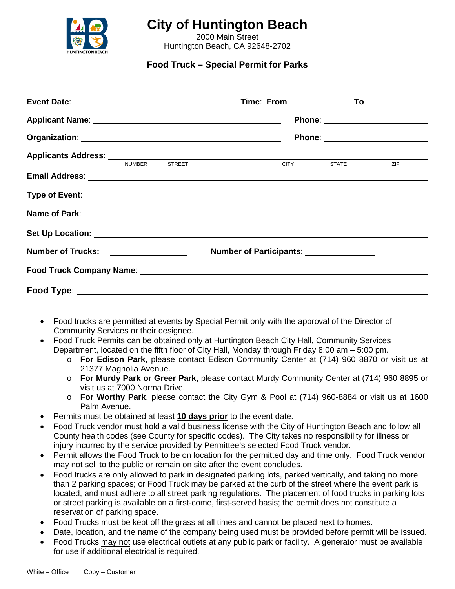

# **City of Huntington Beach**

2000 Main Street Huntington Beach, CA 92648-2702

**Food Truck – Special Permit for Parks**

| <b>Applicants Address:</b> NUMBER STREET <b>STATE</b> CITY STATE                                                                                                                                                                     |                                         |  |  |  |  | <b>ZIP</b> |  |  |
|--------------------------------------------------------------------------------------------------------------------------------------------------------------------------------------------------------------------------------------|-----------------------------------------|--|--|--|--|------------|--|--|
|                                                                                                                                                                                                                                      |                                         |  |  |  |  |            |  |  |
| Type of Event: <b>All and Security Contract Contract Contract Contract Contract Contract Contract Contract Contract Contract Contract Contract Contract Contract Contract Contract Contract Contract Contract Contract Contract </b> |                                         |  |  |  |  |            |  |  |
|                                                                                                                                                                                                                                      |                                         |  |  |  |  |            |  |  |
|                                                                                                                                                                                                                                      |                                         |  |  |  |  |            |  |  |
|                                                                                                                                                                                                                                      | Number of Participants: _______________ |  |  |  |  |            |  |  |
|                                                                                                                                                                                                                                      |                                         |  |  |  |  |            |  |  |
|                                                                                                                                                                                                                                      |                                         |  |  |  |  |            |  |  |

- Food trucks are permitted at events by Special Permit only with the approval of the Director of Community Services or their designee.
- Food Truck Permits can be obtained only at Huntington Beach City Hall, Community Services Department, located on the fifth floor of City Hall, Monday through Friday 8:00 am – 5:00 pm.
	- o **For Edison Park**, please contact Edison Community Center at (714) 960 8870 or visit us at 21377 Magnolia Avenue.
	- o **For Murdy Park or Greer Park**, please contact Murdy Community Center at (714) 960 8895 or visit us at 7000 Norma Drive.
	- o **For Worthy Park**, please contact the City Gym & Pool at (714) 960-8884 or visit us at 1600 Palm Avenue.
- Permits must be obtained at least **10 days prior** to the event date.
- Food Truck vendor must hold a valid business license with the City of Huntington Beach and follow all County health codes (see County for specific codes). The City takes no responsibility for illness or injury incurred by the service provided by Permittee's selected Food Truck vendor.
- Permit allows the Food Truck to be on location for the permitted day and time only. Food Truck vendor may not sell to the public or remain on site after the event concludes.
- Food trucks are only allowed to park in designated parking lots, parked vertically, and taking no more than 2 parking spaces; or Food Truck may be parked at the curb of the street where the event park is located, and must adhere to all street parking regulations. The placement of food trucks in parking lots or street parking is available on a first-come, first-served basis; the permit does not constitute a reservation of parking space.
- Food Trucks must be kept off the grass at all times and cannot be placed next to homes.
- Date, location, and the name of the company being used must be provided before permit will be issued.
- Food Trucks may not use electrical outlets at any public park or facility. A generator must be available for use if additional electrical is required.